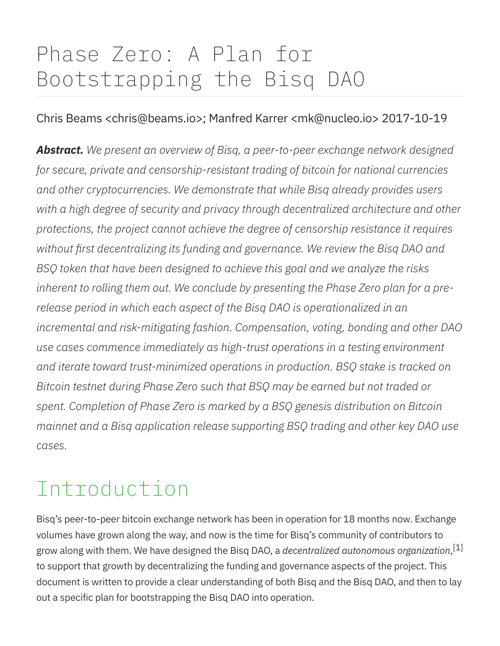# Phase Zero: A Plan for Bootstrapping the Bisq DAO

#### Chris Beams <chris@beams.io>; Manfred Karrer <mk@nucleo.io> 2017-10-19

Abstract. We present an overview of Bisq, a peer-to-peer exchange network designed for secure, private and censorship-resistant trading of bitcoin for national currencies and other cryptocurrencies. We demonstrate that while Bisq already provides users with a high degree of security and privacy through decentralized architecture and other protections, the project cannot achieve the degree of censorship resistance it requires without first decentralizing its funding and governance. We review the Bisq DAO and BSQ token that have been designed to achieve this goal and we analyze the risks inherent to rolling them out. We conclude by presenting the Phase Zero plan for a prerelease period in which each aspect of the Bisq DAO is operationalized in an incremental and risk-mitigating fashion. Compensation, voting, bonding and other DAO use cases commence immediately as high-trust operations in a testing environment and iterate toward trust-minimized operations in production. BSQ stake is tracked on Bitcoin testnet during Phase Zero such that BSQ may be earned but not traded or spent. Completion of Phase Zero is marked by a BSQ genesis distribution on Bitcoin mainnet and a Bisq application release supporting BSQ trading and other key DAO use cases.

# Introduction

Bisq's peer-to-peer bitcoin exchange network has been in operation for 18 months now. Exchange volumes have grown along the way, and now is the time for Bisq's community of contributors to grow along with them. We have designed the Bisq DAO, a *decentralized autonomous organization,* $^{\lceil 1 \rceil}$ to support that growth by decentralizing the funding and governance aspects of the project. This document is written to provide a clear understanding of both Bisq and the Bisq DAO, and then to lay out a specific plan for bootstrapping the Bisq DAO into operation.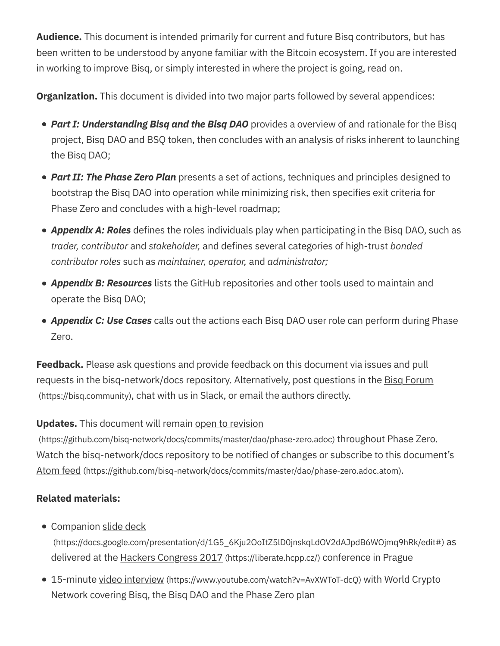Audience. This document is intended primarily for current and future Bisq contributors, but has been written to be understood by anyone familiar with the Bitcoin ecosystem. If you are interested in working to improve Bisq, or simply interested in where the project is going, read on.

**Organization.** This document is divided into two major parts followed by several appendices:

- Part I: Understanding Bisq and the Bisq DAO provides a overview of and rationale for the Bisq project, Bisq DAO and BSQ token, then concludes with an analysis of risks inherent to launching the Bisq DAO;
- Part II: The Phase Zero Plan presents a set of actions, techniques and principles designed to bootstrap the Bisq DAO into operation while minimizing risk, then specifies exit criteria for Phase Zero and concludes with a high-level roadmap;
- Appendix A: Roles defines the roles individuals play when participating in the Bisq DAO, such as trader, contributor and stakeholder, and defines several categories of high-trust bonded contributor roles such as maintainer, operator, and administrator;
- Appendix B: Resources lists the GitHub repositories and other tools used to maintain and operate the Bisq DAO;
- Appendix C: Use Cases calls out the actions each Bisq DAO user role can perform during Phase Zero.

**Feedback.** Please ask questions and provide feedback on this document via issues and pull requests in the bisq-network/docs repository. Alternatively, post questions in the Bisq Forum (https://bisq.community), chat with us in Slack, or email the authors directly.

#### **Updates.** This document will remain open to revision

(https://github.com/bisq-network/docs/commits/master/dao/phase-zero.adoc) throughout Phase Zero. Watch the bisq-network/docs repository to be notified of changes or subscribe to this document's Atom feed (https://github.com/bisq-network/docs/commits/master/dao/phase-zero.adoc.atom).

#### Related materials:

• Companion slide deck

(https://docs.google.com/presentation/d/1G5\_6Kju2OoItZ5lD0jnskqLdOV2dAJpdB6WOjmq9hRk/edit#) as delivered at the Hackers Congress 2017 (https://liberate.hcpp.cz/) conference in Prague

● 15-minute video interview (https://www.youtube.com/watch?v=AvXWToT-dcQ) with World Crypto Network covering Bisq, the Bisq DAO and the Phase Zero plan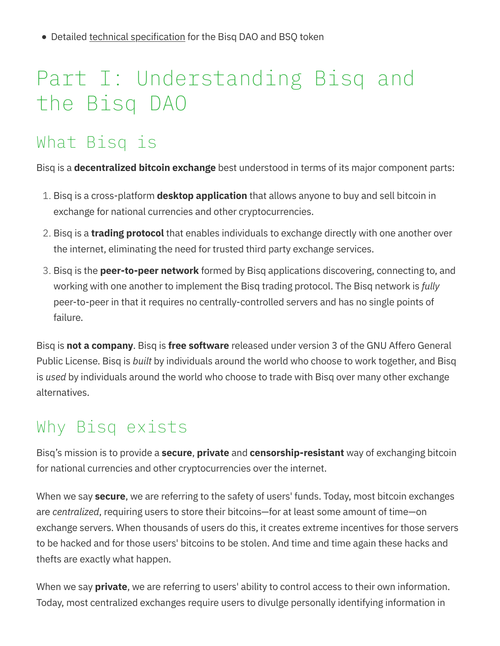• Detailed technical specification for the Bisq DAO and BSQ token

# Part I: Understanding Bisq and the Bisq DAO

# What Bisq is

Bisq is a **decentralized bitcoin exchange** best understood in terms of its major component parts:

- 1. Bisq is a cross-platform **desktop application** that allows anyone to buy and sell bitcoin in exchange for national currencies and other cryptocurrencies.
- 2. Bisg is a **trading protocol** that enables individuals to exchange directly with one another over the internet, eliminating the need for trusted third party exchange services.
- 3. Bisq is the **peer-to-peer network** formed by Bisq applications discovering, connecting to, and working with one another to implement the Bisq trading protocol. The Bisq network is fully peer-to-peer in that it requires no centrally-controlled servers and has no single points of failure.

Bisq is not a company. Bisq is free software released under version 3 of the GNU Affero General Public License. Bisq is *built* by individuals around the world who choose to work together, and Bisq is used by individuals around the world who choose to trade with Bisq over many other exchange alternatives.

# Why Bisq exists

Bisq's mission is to provide a **secure, private** and **censorship-resistant** way of exchanging bitcoin for national currencies and other cryptocurrencies over the internet.

When we say **secure**, we are referring to the safety of users' funds. Today, most bitcoin exchanges are centralized, requiring users to store their bitcoins—for at least some amount of time—on exchange servers. When thousands of users do this, it creates extreme incentives for those servers to be hacked and for those users' bitcoins to be stolen. And time and time again these hacks and thefts are exactly what happen.

When we say **private**, we are referring to users' ability to control access to their own information. Today, most centralized exchanges require users to divulge personally identifying information in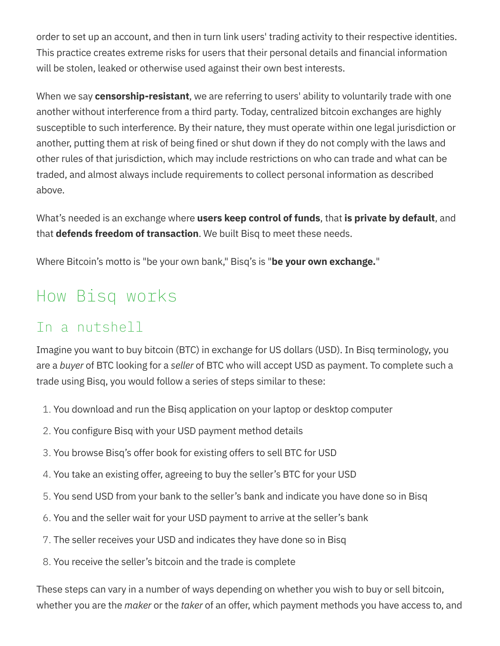order to set up an account, and then in turn link users' trading activity to their respective identities. This practice creates extreme risks for users that their personal details and financial information will be stolen, leaked or otherwise used against their own best interests.

When we say **censorship-resistant**, we are referring to users' ability to voluntarily trade with one another without interference from a third party. Today, centralized bitcoin exchanges are highly susceptible to such interference. By their nature, they must operate within one legal jurisdiction or another, putting them at risk of being fined or shut down if they do not comply with the laws and other rules of that jurisdiction, which may include restrictions on who can trade and what can be traded, and almost always include requirements to collect personal information as described above.

What's needed is an exchange where users keep control of funds, that is private by default, and that **defends freedom of transaction**. We built Bisq to meet these needs.

Where Bitcoin's motto is "be your own bank," Bisg's is "be your own exchange."

# How Bisq works

### In a nutshell

Imagine you want to buy bitcoin (BTC) in exchange for US dollars (USD). In Bisq terminology, you are a buyer of BTC looking for a seller of BTC who will accept USD as payment. To complete such a trade using Bisq, you would follow a series of steps similar to these:

- 1. You download and run the Bisq application on your laptop or desktop computer
- 2. You configure Bisq with your USD payment method details
- 3. You browse Bisq's offer book for existing offers to sell BTC for USD
- 4. You take an existing offer, agreeing to buy the seller's BTC for your USD
- 5. You send USD from your bank to the seller's bank and indicate you have done so in Bisq
- 6. You and the seller wait for your USD payment to arrive at the seller's bank
- 7. The seller receives your USD and indicates they have done so in Bisq
- 8. You receive the seller's bitcoin and the trade is complete

These steps can vary in a number of ways depending on whether you wish to buy or sell bitcoin, whether you are the *maker* or the taker of an offer, which payment methods you have access to, and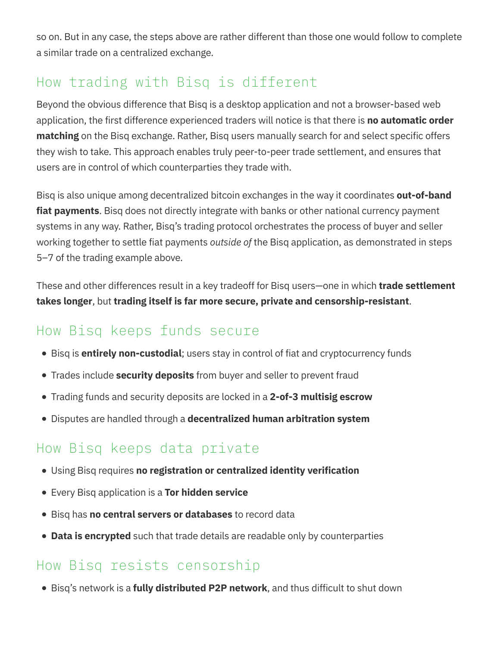so on. But in any case, the steps above are rather different than those one would follow to complete a similar trade on a centralized exchange.

### How trading with Bisq is different

Beyond the obvious difference that Bisq is a desktop application and not a browser-based web application, the first difference experienced traders will notice is that there is **no automatic order** matching on the Bisq exchange. Rather, Bisq users manually search for and select specific offers they wish to take. This approach enables truly peer-to-peer trade settlement, and ensures that users are in control of which counterparties they trade with.

Bisq is also unique among decentralized bitcoin exchanges in the way it coordinates **out-of-band** fiat payments. Bisq does not directly integrate with banks or other national currency payment systems in any way. Rather, Bisq's trading protocol orchestrates the process of buyer and seller working together to settle fiat payments *outside of* the Bisq application, as demonstrated in steps 5–7 of the trading example above.

These and other differences result in a key tradeoff for Bisq users—one in which **trade settlement** takes longer, but trading itself is far more secure, private and censorship-resistant.

### How Bisq keeps funds secure

- Bisq is **entirely non-custodial**; users stay in control of fiat and cryptocurrency funds
- Trades include **security deposits** from buyer and seller to prevent fraud
- Trading funds and security deposits are locked in a 2-of-3 multisig escrow
- Disputes are handled through a decentralized human arbitration system

## How Bisq keeps data private

- Using Bisq requires no registration or centralized identity verification
- **•** Every Bisq application is a Tor hidden service
- Bisg has no central servers or databases to record data
- Data is encrypted such that trade details are readable only by counterparties

### How Bisq resists censorship

• Bisg's network is a fully distributed P2P network, and thus difficult to shut down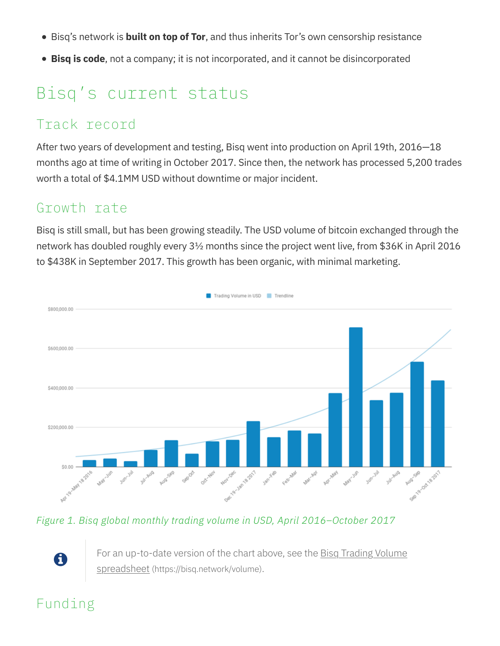- Bisq's network is **built on top of Tor**, and thus inherits Tor's own censorship resistance
- Bisq is code, not a company; it is not incorporated, and it cannot be disincorporated

# Bisq's current status

#### Track record

After two years of development and testing, Bisq went into production on April 19th, 2016—18 months ago at time of writing in October 2017. Since then, the network has processed 5,200 trades worth a total of \$4.1MM USD without downtime or major incident.

#### Growth rate

Bisq is still small, but has been growing steadily. The USD volume of bitcoin exchanged through the network has doubled roughly every 3½ months since the project went live, from \$36K in April 2016 to \$438K in September 2017. This growth has been organic, with minimal marketing.



Figure 1. Bisq global monthly trading volume in USD, April 2016–October 2017

For an up-to-date version of the chart above, see the **Bisq Trading Volume** spreadsheet (https://bisq.network/volume).

## Funding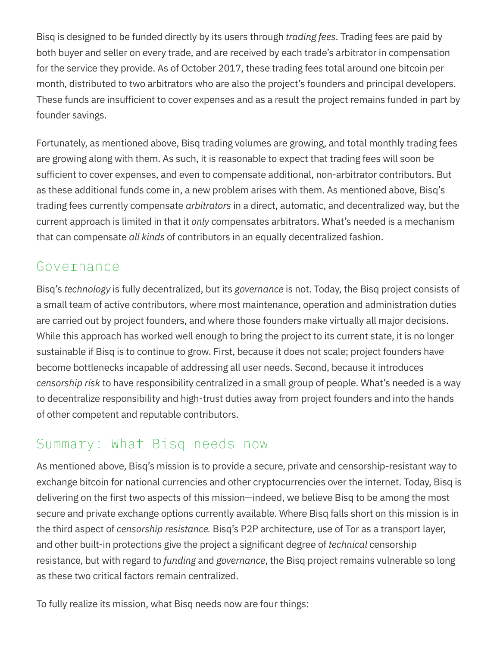Bisq is designed to be funded directly by its users through *trading fees*. Trading fees are paid by both buyer and seller on every trade, and are received by each trade's arbitrator in compensation for the service they provide. As of October 2017, these trading fees total around one bitcoin per month, distributed to two arbitrators who are also the project's founders and principal developers. These funds are insufficient to cover expenses and as a result the project remains funded in part by founder savings.

Fortunately, as mentioned above, Bisq trading volumes are growing, and total monthly trading fees are growing along with them. As such, it is reasonable to expect that trading fees will soon be sufficient to cover expenses, and even to compensate additional, non-arbitrator contributors. But as these additional funds come in, a new problem arises with them. As mentioned above, Bisq's trading fees currently compensate *arbitrators* in a direct, automatic, and decentralized way, but the current approach is limited in that it *only* compensates arbitrators. What's needed is a mechanism that can compensate all kinds of contributors in an equally decentralized fashion.

#### Governance

Bisq's technology is fully decentralized, but its governance is not. Today, the Bisq project consists of a small team of active contributors, where most maintenance, operation and administration duties are carried out by project founders, and where those founders make virtually all major decisions. While this approach has worked well enough to bring the project to its current state, it is no longer sustainable if Bisq is to continue to grow. First, because it does not scale; project founders have become bottlenecks incapable of addressing all user needs. Second, because it introduces censorship risk to have responsibility centralized in a small group of people. What's needed is a way to decentralize responsibility and high-trust duties away from project founders and into the hands of other competent and reputable contributors.

#### Summary: What Bisq needs now

As mentioned above, Bisq's mission is to provide a secure, private and censorship-resistant way to exchange bitcoin for national currencies and other cryptocurrencies over the internet. Today, Bisq is delivering on the first two aspects of this mission—indeed, we believe Bisq to be among the most secure and private exchange options currently available. Where Bisq falls short on this mission is in the third aspect of censorship resistance. Bisq's P2P architecture, use of Tor as a transport layer, and other built-in protections give the project a significant degree of *technical* censorship resistance, but with regard to *funding* and governance, the Bisq project remains vulnerable so long as these two critical factors remain centralized.

To fully realize its mission, what Bisq needs now are four things: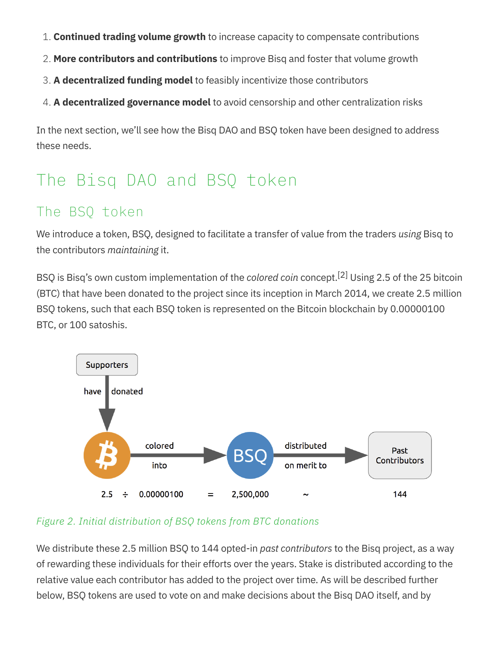- 1. Continued trading volume growth to increase capacity to compensate contributions
- 2. More contributors and contributions to improve Bisq and foster that volume growth
- 3. A decentralized funding model to feasibly incentivize those contributors
- 4. A decentralized governance model to avoid censorship and other centralization risks

In the next section, we'll see how the Bisq DAO and BSQ token have been designed to address these needs.

# The Bisq DAO and BSQ token

### The BSQ token

We introduce a token, BSQ, designed to facilitate a transfer of value from the traders using Bisq to the contributors maintaining it.

BSQ is Bisq's own custom implementation of the colored coin concept.<sup>[2]</sup> Using 2.5 of the 25 bitcoin (BTC) that have been donated to the project since its inception in March 2014, we create 2.5 million BSQ tokens, such that each BSQ token is represented on the Bitcoin blockchain by 0.00000100 BTC, or 100 satoshis.



#### Figure 2. Initial distribution of BSQ tokens from BTC donations

We distribute these 2.5 million BSQ to 144 opted-in past contributors to the Bisq project, as a way of rewarding these individuals for their efforts over the years. Stake is distributed according to the relative value each contributor has added to the project over time. As will be described further below, BSQ tokens are used to vote on and make decisions about the Bisq DAO itself, and by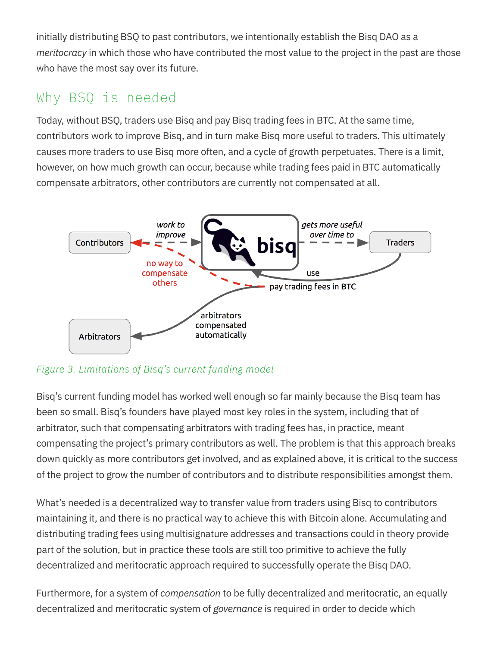initially distributing BSQ to past contributors, we intentionally establish the Bisq DAO as a meritocracy in which those who have contributed the most value to the project in the past are those who have the most say over its future.

#### Why BSQ is needed

Today, without BSQ, traders use Bisq and pay Bisq trading fees in BTC. At the same time, contributors work to improve Bisq, and in turn make Bisq more useful to traders. This ultimately causes more traders to use Bisq more often, and a cycle of growth perpetuates. There is a limit, however, on how much growth can occur, because while trading fees paid in BTC automatically compensate arbitrators, other contributors are currently not compensated at all.



Figure 3. Limitations of Bisq's current funding model

Bisq's current funding model has worked well enough so far mainly because the Bisq team has been so small. Bisq's founders have played most key roles in the system, including that of arbitrator, such that compensating arbitrators with trading fees has, in practice, meant compensating the project's primary contributors as well. The problem is that this approach breaks down quickly as more contributors get involved, and as explained above, it is critical to the success of the project to grow the number of contributors and to distribute responsibilities amongst them.

What's needed is a decentralized way to transfer value from traders using Bisq to contributors maintaining it, and there is no practical way to achieve this with Bitcoin alone. Accumulating and distributing trading fees using multisignature addresses and transactions could in theory provide part of the solution, but in practice these tools are still too primitive to achieve the fully decentralized and meritocratic approach required to successfully operate the Bisq DAO.

Furthermore, for a system of *compensation* to be fully decentralized and meritocratic, an equally decentralized and meritocratic system of governance is required in order to decide which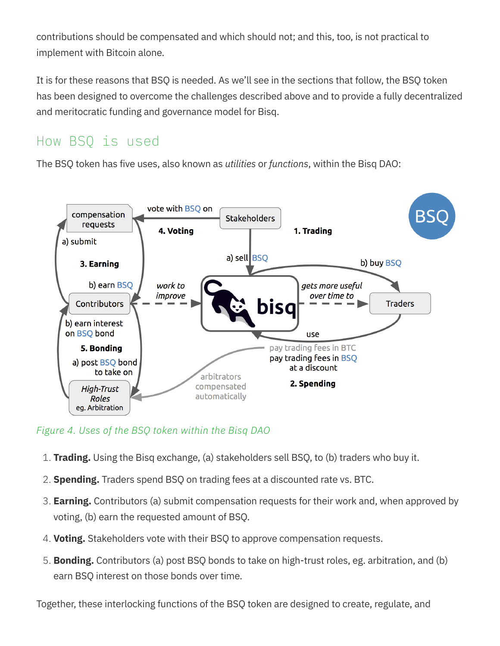contributions should be compensated and which should not; and this, too, is not practical to implement with Bitcoin alone.

It is for these reasons that BSQ is needed. As we'll see in the sections that follow, the BSQ token has been designed to overcome the challenges described above and to provide a fully decentralized and meritocratic funding and governance model for Bisq.

#### How BSQ is used

The BSQ token has five uses, also known as *utilities* or *functions*, within the Bisq DAO:



#### Figure 4. Uses of the BSQ token within the Bisq DAO

- 1. **Trading.** Using the Bisq exchange, (a) stakeholders sell BSQ, to (b) traders who buy it.
- 2. **Spending.** Traders spend BSQ on trading fees at a discounted rate vs. BTC.
- 3. **Earning.** Contributors (a) submit compensation requests for their work and, when approved by voting, (b) earn the requested amount of BSQ.
- 4. Voting. Stakeholders vote with their BSQ to approve compensation requests.
- 5. **Bonding.** Contributors (a) post BSQ bonds to take on high-trust roles, eg. arbitration, and (b) earn BSQ interest on those bonds over time.

Together, these interlocking functions of the BSQ token are designed to create, regulate, and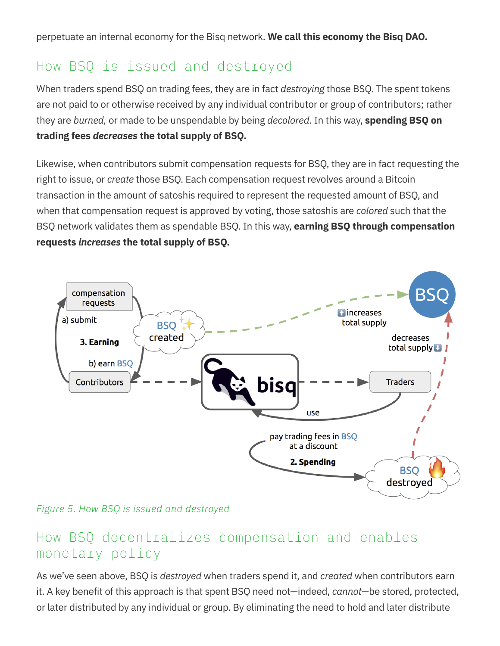#### How BSQ is issued and destroyed

When traders spend BSQ on trading fees, they are in fact *destroying* those BSQ. The spent tokens are not paid to or otherwise received by any individual contributor or group of contributors; rather they are burned, or made to be unspendable by being *decolored*. In this way, **spending BSQ on** trading fees decreases the total supply of BSQ.

Likewise, when contributors submit compensation requests for BSQ, they are in fact requesting the right to issue, or create those BSQ. Each compensation request revolves around a Bitcoin transaction in the amount of satoshis required to represent the requested amount of BSQ, and when that compensation request is approved by voting, those satoshis are colored such that the BSQ network validates them as spendable BSQ. In this way, **earning BSQ through compensation** requests increases the total supply of BSQ.



Figure 5. How BSQ is issued and destroyed

#### How BSQ decentralizes compensation and enables monetary policy

As we've seen above, BSQ is *destroyed* when traders spend it, and *created* when contributors earn it. A key benefit of this approach is that spent BSQ need not—indeed, cannot—be stored, protected, or later distributed by any individual or group. By eliminating the need to hold and later distribute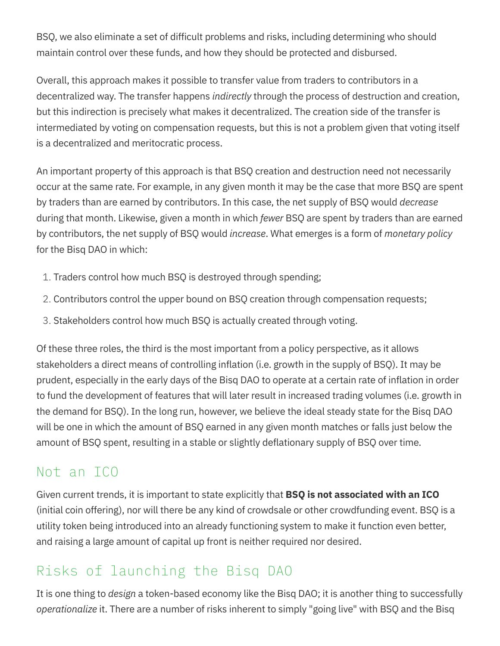BSQ, we also eliminate a set of difficult problems and risks, including determining who should maintain control over these funds, and how they should be protected and disbursed.

Overall, this approach makes it possible to transfer value from traders to contributors in a decentralized way. The transfer happens *indirectly* through the process of destruction and creation, but this indirection is precisely what makes it decentralized. The creation side of the transfer is intermediated by voting on compensation requests, but this is not a problem given that voting itself is a decentralized and meritocratic process.

An important property of this approach is that BSQ creation and destruction need not necessarily occur at the same rate. For example, in any given month it may be the case that more BSQ are spent by traders than are earned by contributors. In this case, the net supply of BSQ would *decrease* during that month. Likewise, given a month in which *fewer* BSQ are spent by traders than are earned by contributors, the net supply of BSQ would *increase*. What emerges is a form of *monetary policy* for the Bisq DAO in which:

- 1. Traders control how much BSQ is destroyed through spending;
- 2. Contributors control the upper bound on BSQ creation through compensation requests;
- 3. Stakeholders control how much BSQ is actually created through voting.

Of these three roles, the third is the most important from a policy perspective, as it allows stakeholders a direct means of controlling inflation (i.e. growth in the supply of BSQ). It may be prudent, especially in the early days of the Bisq DAO to operate at a certain rate of inflation in order to fund the development of features that will later result in increased trading volumes (i.e. growth in the demand for BSQ). In the long run, however, we believe the ideal steady state for the Bisq DAO will be one in which the amount of BSQ earned in any given month matches or falls just below the amount of BSQ spent, resulting in a stable or slightly deflationary supply of BSQ over time.

#### Not an ICO

Given current trends, it is important to state explicitly that **BSQ is not associated with an ICO** (initial coin offering), nor will there be any kind of crowdsale or other crowdfunding event. BSQ is a utility token being introduced into an already functioning system to make it function even better, and raising a large amount of capital up front is neither required nor desired.

### Risks of launching the Bisq DAO

It is one thing to design a token-based economy like the Bisq DAO; it is another thing to successfully operationalize it. There are a number of risks inherent to simply "going live" with BSQ and the Bisq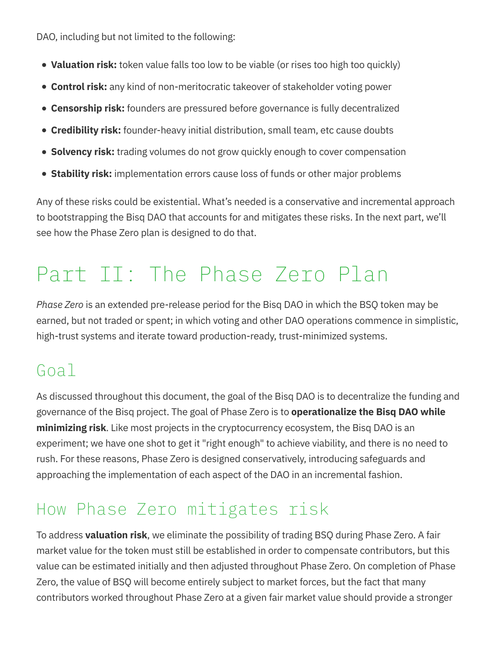DAO, including but not limited to the following:

- Valuation risk: token value falls too low to be viable (or rises too high too quickly)
- **Control risk:** any kind of non-meritocratic takeover of stakeholder voting power
- **Censorship risk:** founders are pressured before governance is fully decentralized
- **Credibility risk:** founder-heavy initial distribution, small team, etc cause doubts
- **Solvency risk:** trading volumes do not grow quickly enough to cover compensation
- **Stability risk:** implementation errors cause loss of funds or other major problems

Any of these risks could be existential. What's needed is a conservative and incremental approach to bootstrapping the Bisq DAO that accounts for and mitigates these risks. In the next part, we'll see how the Phase Zero plan is designed to do that.

# Part II: The Phase Zero Plan

Phase Zero is an extended pre-release period for the Bisq DAO in which the BSQ token may be earned, but not traded or spent; in which voting and other DAO operations commence in simplistic, high-trust systems and iterate toward production-ready, trust-minimized systems.

## Goal

As discussed throughout this document, the goal of the Bisq DAO is to decentralize the funding and governance of the Bisq project. The goal of Phase Zero is to **operationalize the Bisq DAO while** minimizing risk. Like most projects in the cryptocurrency ecosystem, the Bisq DAO is an experiment; we have one shot to get it "right enough" to achieve viability, and there is no need to rush. For these reasons, Phase Zero is designed conservatively, introducing safeguards and approaching the implementation of each aspect of the DAO in an incremental fashion.

# How Phase Zero mitigates risk

To address **valuation risk**, we eliminate the possibility of trading BSQ during Phase Zero. A fair market value for the token must still be established in order to compensate contributors, but this value can be estimated initially and then adjusted throughout Phase Zero. On completion of Phase Zero, the value of BSQ will become entirely subject to market forces, but the fact that many contributors worked throughout Phase Zero at a given fair market value should provide a stronger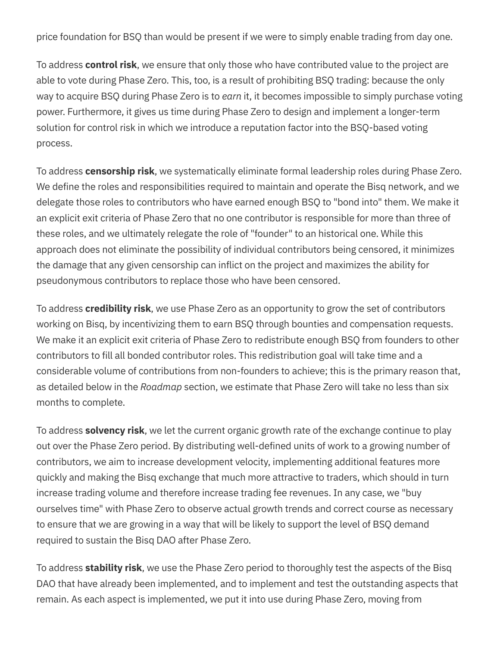price foundation for BSQ than would be present if we were to simply enable trading from day one.

To address **control risk**, we ensure that only those who have contributed value to the project are able to vote during Phase Zero. This, too, is a result of prohibiting BSQ trading: because the only way to acquire BSQ during Phase Zero is to earn it, it becomes impossible to simply purchase voting power. Furthermore, it gives us time during Phase Zero to design and implement a longer-term solution for control risk in which we introduce a reputation factor into the BSQ-based voting process.

To address **censorship risk**, we systematically eliminate formal leadership roles during Phase Zero. We define the roles and responsibilities required to maintain and operate the Bisq network, and we delegate those roles to contributors who have earned enough BSQ to "bond into" them. We make it an explicit exit criteria of Phase Zero that no one contributor is responsible for more than three of these roles, and we ultimately relegate the role of "founder" to an historical one. While this approach does not eliminate the possibility of individual contributors being censored, it minimizes the damage that any given censorship can inflict on the project and maximizes the ability for pseudonymous contributors to replace those who have been censored.

To address **credibility risk**, we use Phase Zero as an opportunity to grow the set of contributors working on Bisq, by incentivizing them to earn BSQ through bounties and compensation requests. We make it an explicit exit criteria of Phase Zero to redistribute enough BSQ from founders to other contributors to fill all bonded contributor roles. This redistribution goal will take time and a considerable volume of contributions from non-founders to achieve; this is the primary reason that, as detailed below in the Roadmap section, we estimate that Phase Zero will take no less than six months to complete.

To address **solvency risk**, we let the current organic growth rate of the exchange continue to play out over the Phase Zero period. By distributing well-defined units of work to a growing number of contributors, we aim to increase development velocity, implementing additional features more quickly and making the Bisq exchange that much more attractive to traders, which should in turn increase trading volume and therefore increase trading fee revenues. In any case, we "buy ourselves time" with Phase Zero to observe actual growth trends and correct course as necessary to ensure that we are growing in a way that will be likely to support the level of BSQ demand required to sustain the Bisq DAO after Phase Zero.

To address **stability risk**, we use the Phase Zero period to thoroughly test the aspects of the Bisq DAO that have already been implemented, and to implement and test the outstanding aspects that remain. As each aspect is implemented, we put it into use during Phase Zero, moving from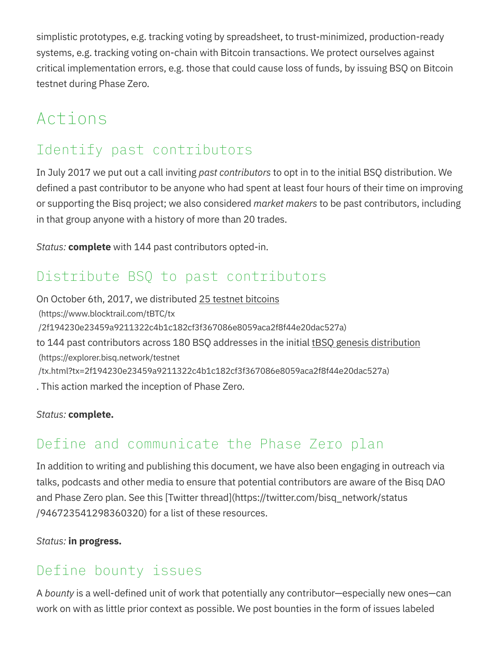simplistic prototypes, e.g. tracking voting by spreadsheet, to trust-minimized, production-ready systems, e.g. tracking voting on-chain with Bitcoin transactions. We protect ourselves against critical implementation errors, e.g. those that could cause loss of funds, by issuing BSQ on Bitcoin testnet during Phase Zero.

# Actions

### Identify past contributors

In July 2017 we put out a call inviting past contributors to opt in to the initial BSQ distribution. We defined a past contributor to be anyone who had spent at least four hours of their time on improving or supporting the Bisq project; we also considered market makers to be past contributors, including in that group anyone with a history of more than 20 trades.

Status: **complete** with 144 past contributors opted-in.

#### Distribute BSQ to past contributors

On October 6th, 2017, we distributed 25 testnet bitcoins (https://www.blocktrail.com/tBTC/tx /2f194230e23459a9211322c4b1c182cf3f367086e8059aca2f8f44e20dac527a) to 144 past contributors across 180 BSQ addresses in the initial than genesis distribution (https://explorer.bisq.network/testnet /tx.html?tx=2f194230e23459a9211322c4b1c182cf3f367086e8059aca2f8f44e20dac527a) . This action marked the inception of Phase Zero.

Status: complete.

### Define and communicate the Phase Zero plan

In addition to writing and publishing this document, we have also been engaging in outreach via talks, podcasts and other media to ensure that potential contributors are aware of the Bisq DAO and Phase Zero plan. See this [Twitter thread](https://twitter.com/bisq\_network/status /946723541298360320) for a list of these resources.

Status: in progress.

#### Define bounty issues

A bounty is a well-defined unit of work that potentially any contributor—especially new ones—can work on with as little prior context as possible. We post bounties in the form of issues labeled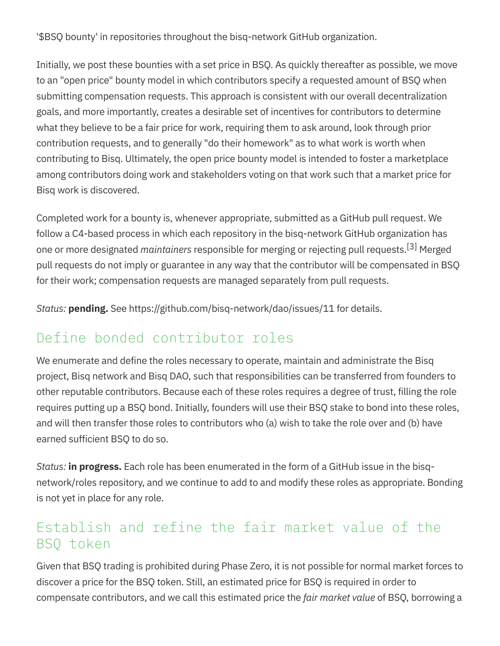'\$BSQ bounty' in repositories throughout the bisq-network GitHub organization.

Initially, we post these bounties with a set price in BSQ. As quickly thereafter as possible, we move to an "open price" bounty model in which contributors specify a requested amount of BSQ when submitting compensation requests. This approach is consistent with our overall decentralization goals, and more importantly, creates a desirable set of incentives for contributors to determine what they believe to be a fair price for work, requiring them to ask around, look through prior contribution requests, and to generally "do their homework" as to what work is worth when contributing to Bisq. Ultimately, the open price bounty model is intended to foster a marketplace among contributors doing work and stakeholders voting on that work such that a market price for Bisq work is discovered.

Completed work for a bounty is, whenever appropriate, submitted as a GitHub pull request. We follow a C4-based process in which each repository in the bisq-network GitHub organization has one or more designated *maintainers* responsible for merging or rejecting pull requests.<sup>[3]</sup> Merged pull requests do not imply or guarantee in any way that the contributor will be compensated in BSQ for their work; compensation requests are managed separately from pull requests.

Status: pending. See https://github.com/bisq-network/dao/issues/11 for details.

#### Define bonded contributor roles

We enumerate and define the roles necessary to operate, maintain and administrate the Bisq project, Bisq network and Bisq DAO, such that responsibilities can be transferred from founders to other reputable contributors. Because each of these roles requires a degree of trust, filling the role requires putting up a BSQ bond. Initially, founders will use their BSQ stake to bond into these roles, and will then transfer those roles to contributors who (a) wish to take the role over and (b) have earned sufficient BSQ to do so.

Status: **in progress.** Each role has been enumerated in the form of a GitHub issue in the bisqnetwork/roles repository, and we continue to add to and modify these roles as appropriate. Bonding is not yet in place for any role.

#### Establish and refine the fair market value of the BSQ token

Given that BSQ trading is prohibited during Phase Zero, it is not possible for normal market forces to discover a price for the BSQ token. Still, an estimated price for BSQ is required in order to compensate contributors, and we call this estimated price the *fair market value* of BSQ, borrowing a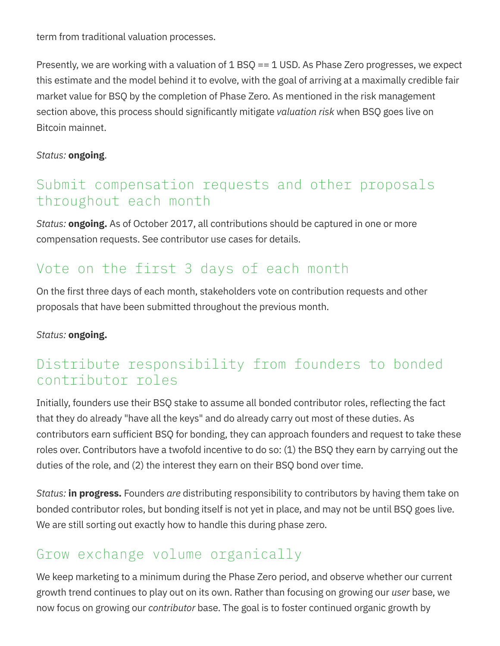term from traditional valuation processes.

Presently, we are working with a valuation of 1 BSQ == 1 USD. As Phase Zero progresses, we expect this estimate and the model behind it to evolve, with the goal of arriving at a maximally credible fair market value for BSQ by the completion of Phase Zero. As mentioned in the risk management section above, this process should significantly mitigate valuation risk when BSQ goes live on Bitcoin mainnet.

#### Status: ongoing.

#### Submit compensation requests and other proposals throughout each month

Status: **ongoing.** As of October 2017, all contributions should be captured in one or more compensation requests. See contributor use cases for details.

#### Vote on the first 3 days of each month

On the first three days of each month, stakeholders vote on contribution requests and other proposals that have been submitted throughout the previous month.

#### Status: ongoing.

#### Distribute responsibility from founders to bonded contributor roles

Initially, founders use their BSQ stake to assume all bonded contributor roles, reflecting the fact that they do already "have all the keys" and do already carry out most of these duties. As contributors earn sufficient BSQ for bonding, they can approach founders and request to take these roles over. Contributors have a twofold incentive to do so: (1) the BSQ they earn by carrying out the duties of the role, and (2) the interest they earn on their BSQ bond over time.

Status: **in progress.** Founders are distributing responsibility to contributors by having them take on bonded contributor roles, but bonding itself is not yet in place, and may not be until BSQ goes live. We are still sorting out exactly how to handle this during phase zero.

#### Grow exchange volume organically

We keep marketing to a minimum during the Phase Zero period, and observe whether our current growth trend continues to play out on its own. Rather than focusing on growing our *user* base, we now focus on growing our contributor base. The goal is to foster continued organic growth by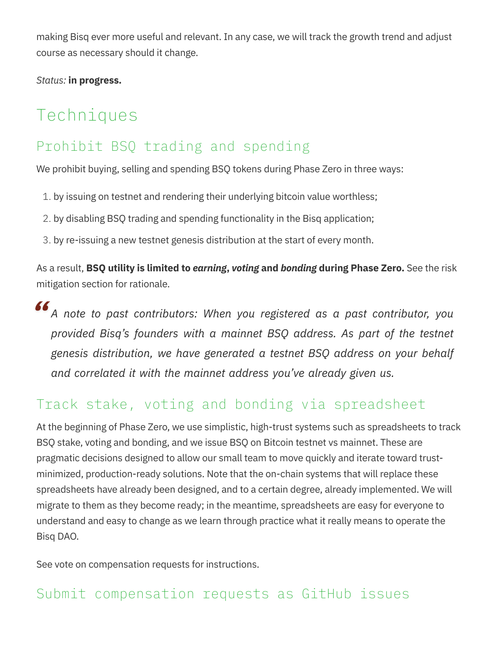making Bisq ever more useful and relevant. In any case, we will track the growth trend and adjust course as necessary should it change.

Status: in progress.

# Techniques

#### Prohibit BSQ trading and spending

We prohibit buying, selling and spending BSQ tokens during Phase Zero in three ways:

- 1. by issuing on testnet and rendering their underlying bitcoin value worthless;
- 2. by disabling BSQ trading and spending functionality in the Bisq application;
- 3. by re-issuing a new testnet genesis distribution at the start of every month.

As a result, **BSQ utility is limited to** *earning***, voting and bonding during Phase Zero.** See the risk mitigation section for rationale.

#### " A note to past contributors: When you registered as a past contributor, you provided Bisq's founders with a mainnet BSQ address. As part of the testnet genesis distribution, we have generated a testnet BSQ address on your behalf and correlated it with the mainnet address you've already given us.

#### Track stake, voting and bonding via spreadsheet

At the beginning of Phase Zero, we use simplistic, high-trust systems such as spreadsheets to track BSQ stake, voting and bonding, and we issue BSQ on Bitcoin testnet vs mainnet. These are pragmatic decisions designed to allow our small team to move quickly and iterate toward trustminimized, production-ready solutions. Note that the on-chain systems that will replace these spreadsheets have already been designed, and to a certain degree, already implemented. We will migrate to them as they become ready; in the meantime, spreadsheets are easy for everyone to understand and easy to change as we learn through practice what it really means to operate the Bisq DAO.

See vote on compensation requests for instructions.

#### Submit compensation requests as GitHub issues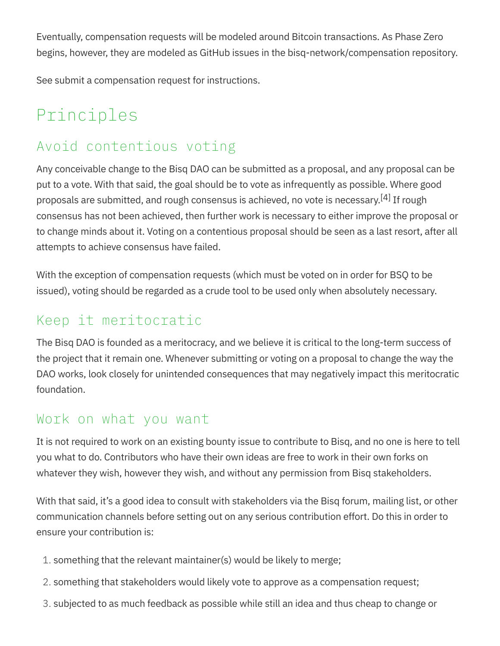Eventually, compensation requests will be modeled around Bitcoin transactions. As Phase Zero begins, however, they are modeled as GitHub issues in the bisq-network/compensation repository.

See submit a compensation request for instructions.

# Principles

### Avoid contentious voting

Any conceivable change to the Bisq DAO can be submitted as a proposal, and any proposal can be put to a vote. With that said, the goal should be to vote as infrequently as possible. Where good proposals are submitted, and rough consensus is achieved, no vote is necessary.<sup>[4]</sup> If rough consensus has not been achieved, then further work is necessary to either improve the proposal or to change minds about it. Voting on a contentious proposal should be seen as a last resort, after all attempts to achieve consensus have failed.

With the exception of compensation requests (which must be voted on in order for BSQ to be issued), voting should be regarded as a crude tool to be used only when absolutely necessary.

#### Keep it meritocratic

The Bisq DAO is founded as a meritocracy, and we believe it is critical to the long-term success of the project that it remain one. Whenever submitting or voting on a proposal to change the way the DAO works, look closely for unintended consequences that may negatively impact this meritocratic foundation.

#### Work on what you want

It is not required to work on an existing bounty issue to contribute to Bisq, and no one is here to tell you what to do. Contributors who have their own ideas are free to work in their own forks on whatever they wish, however they wish, and without any permission from Bisq stakeholders.

With that said, it's a good idea to consult with stakeholders via the Bisq forum, mailing list, or other communication channels before setting out on any serious contribution effort. Do this in order to ensure your contribution is:

- 1. something that the relevant maintainer(s) would be likely to merge;
- 2. something that stakeholders would likely vote to approve as a compensation request;
- 3. subjected to as much feedback as possible while still an idea and thus cheap to change or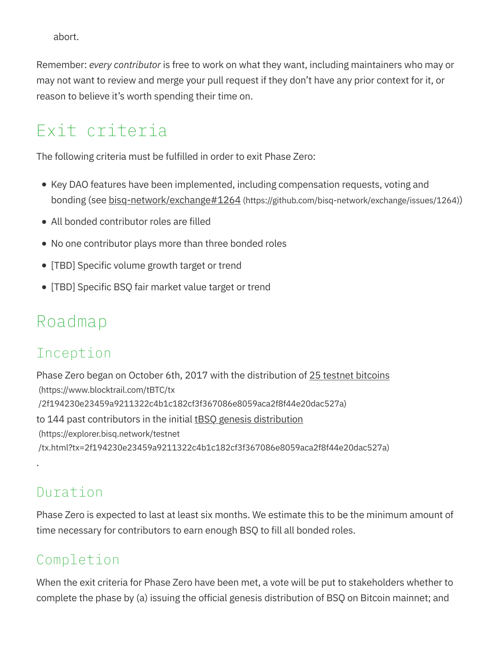abort.

Remember: every contributor is free to work on what they want, including maintainers who may or may not want to review and merge your pull request if they don't have any prior context for it, or reason to believe it's worth spending their time on.

# Exit criteria

The following criteria must be fulfilled in order to exit Phase Zero:

- Key DAO features have been implemented, including compensation requests, voting and bonding (see <u>bisq-network/exchange#1264</u> (https://github.com/bisq-network/exchange/issues/1264))
- All bonded contributor roles are filled
- No one contributor plays more than three bonded roles
- [TBD] Specific volume growth target or trend
- [TBD] Specific BSQ fair market value target or trend

# Roadmap

## Inception

Phase Zero began on October 6th, 2017 with the distribution of 25 testnet bitcoins (https://www.blocktrail.com/tBTC/tx /2f194230e23459a9211322c4b1c182cf3f367086e8059aca2f8f44e20dac527a) to 144 past contributors in the initial tBSQ genesis distribution (https://explorer.bisq.network/testnet /tx.html?tx=2f194230e23459a9211322c4b1c182cf3f367086e8059aca2f8f44e20dac527a)

#### Duration

.

Phase Zero is expected to last at least six months. We estimate this to be the minimum amount of time necessary for contributors to earn enough BSQ to fill all bonded roles.

### Completion

When the exit criteria for Phase Zero have been met, a vote will be put to stakeholders whether to complete the phase by (a) issuing the official genesis distribution of BSQ on Bitcoin mainnet; and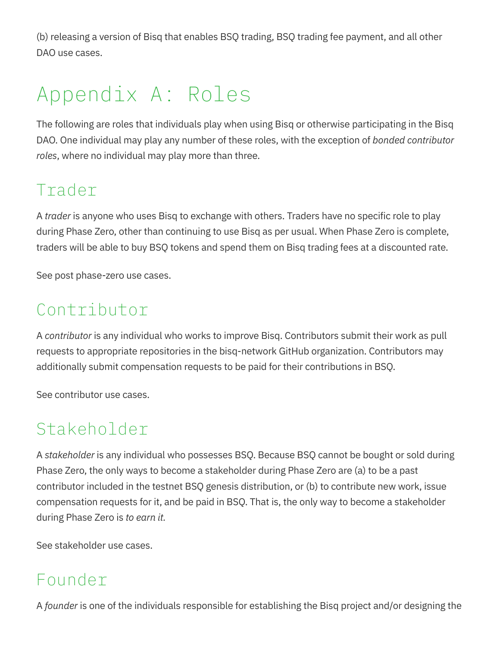(b) releasing a version of Bisq that enables BSQ trading, BSQ trading fee payment, and all other DAO use cases.

# Appendix A: Roles

The following are roles that individuals play when using Bisq or otherwise participating in the Bisq DAO. One individual may play any number of these roles, with the exception of bonded contributor roles, where no individual may play more than three.

# Trader

A trader is anyone who uses Bisq to exchange with others. Traders have no specific role to play during Phase Zero, other than continuing to use Bisq as per usual. When Phase Zero is complete, traders will be able to buy BSQ tokens and spend them on Bisq trading fees at a discounted rate.

See post phase-zero use cases.

# Contributor

A contributor is any individual who works to improve Bisq. Contributors submit their work as pull requests to appropriate repositories in the bisq-network GitHub organization. Contributors may additionally submit compensation requests to be paid for their contributions in BSQ.

See contributor use cases.

# Stakeholder

A stakeholder is any individual who possesses BSQ. Because BSQ cannot be bought or sold during Phase Zero, the only ways to become a stakeholder during Phase Zero are (a) to be a past contributor included in the testnet BSQ genesis distribution, or (b) to contribute new work, issue compensation requests for it, and be paid in BSQ. That is, the only way to become a stakeholder during Phase Zero is to earn it.

See stakeholder use cases.

## Founder

A *founder* is one of the individuals responsible for establishing the Bisq project and/or designing the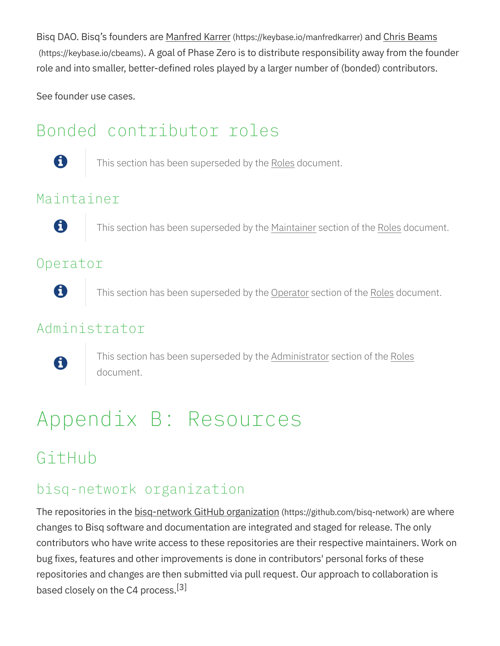Bisq DAO. Bisq's founders are Manfred Karrer (https://keybase.io/manfredkarrer) and Chris Beams (https://keybase.io/cbeams). A goal of Phase Zero is to distribute responsibility away from the founder role and into smaller, better-defined roles played by a larger number of (bonded) contributors.

See founder use cases.

# Bonded contributor roles



This section has been superseded by the Roles document.

#### Maintainer



This section has been superseded by the Maintainer section of the Roles document.

#### Operator



This section has been superseded by the Operator section of the Roles document.

#### Administrator



This section has been superseded by the <u>Administrator</u> section of the Roles document.

# Appendix B: Resources

# GitHub

#### bisq-network organization

The repositories in the bisq-network GitHub organization (https://github.com/bisq-network) are where changes to Bisq software and documentation are integrated and staged for release. The only contributors who have write access to these repositories are their respective maintainers. Work on bug fixes, features and other improvements is done in contributors' personal forks of these repositories and changes are then submitted via pull request. Our approach to collaboration is based closely on the C4 process.<sup>[3]</sup>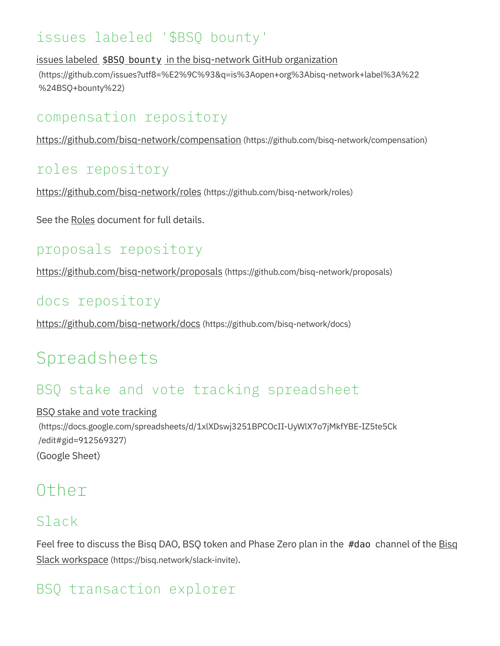#### issues labeled '\$BSQ bounty'

issues labeled \$BSQ bounty in the bisq-network GitHub organization

(https://github.com/issues?utf8=%E2%9C%93&q=is%3Aopen+org%3Abisq-network+label%3A%22 %24BSQ+bounty%22)

#### compensation repository

https://github.com/bisq-network/compensation (https://github.com/bisq-network/compensation)

#### roles repository

https://github.com/bisq-network/roles (https://github.com/bisq-network/roles)

See the Roles document for full details.

### proposals repository

https://github.com/bisq-network/proposals (https://github.com/bisq-network/proposals)

#### docs repository

https://github.com/bisq-network/docs (https://github.com/bisq-network/docs)

# Spreadsheets

#### BSQ stake and vote tracking spreadsheet

#### BSQ stake and vote tracking

(https://docs.google.com/spreadsheets/d/1xlXDswj3251BPCOcII-UyWlX7o7jMkfYBE-IZ5te5Ck /edit#gid=912569327) (Google Sheet)

## Other

### Slack

Feel free to discuss the Bisq DAO, BSQ token and Phase Zero plan in the #dao channel of the Bisq Slack workspace (https://bisq.network/slack-invite).

## BSQ transaction explorer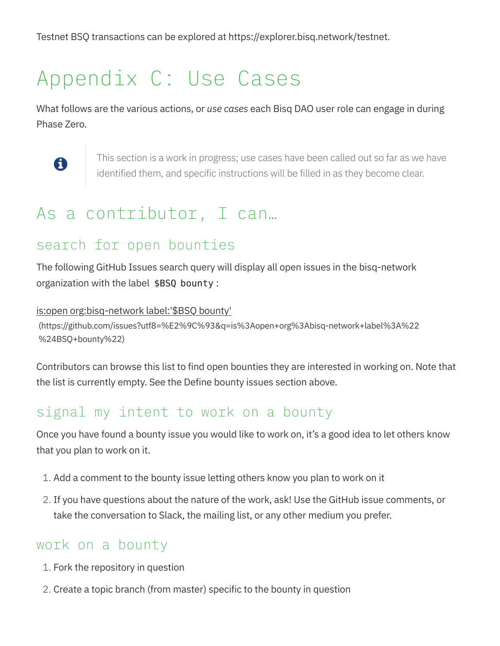Testnet BSQ transactions can be explored at https://explorer.bisq.network/testnet.

# Appendix C: Use Cases

What follows are the various actions, or use cases each Bisq DAO user role can engage in during Phase Zero.



This section is a work in progress; use cases have been called out so far as we have identified them, and specific instructions will be filled in as they become clear.

# As a contributor, I can…

#### search for open bounties

The following GitHub Issues search query will display all open issues in the bisq-network organization with the label \$BSQ bounty :

is:open org:bisq-network label:'\$BSQ bounty'

(https://github.com/issues?utf8=%E2%9C%93&q=is%3Aopen+org%3Abisq-network+label%3A%22 %24BSQ+bounty%22)

Contributors can browse this list to find open bounties they are interested in working on. Note that the list is currently empty. See the Define bounty issues section above.

#### signal my intent to work on a bounty

Once you have found a bounty issue you would like to work on, it's a good idea to let others know that you plan to work on it.

- 1. Add a comment to the bounty issue letting others know you plan to work on it
- 2. If you have questions about the nature of the work, ask! Use the GitHub issue comments, or take the conversation to Slack, the mailing list, or any other medium you prefer.

#### work on a bounty

- 1. Fork the repository in question
- 2. Create a topic branch (from master) specific to the bounty in question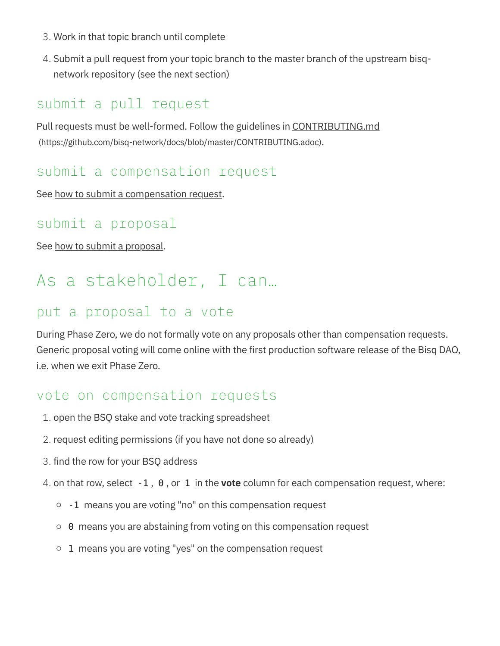- 3. Work in that topic branch until complete
- 4. Submit a pull request from your topic branch to the master branch of the upstream bisqnetwork repository (see the next section)

#### submit a pull request

Pull requests must be well-formed. Follow the guidelines in CONTRIBUTING.md (https://github.com/bisq-network/docs/blob/master/CONTRIBUTING.adoc).

#### submit a compensation request

See how to submit a compensation request.

#### submit a proposal

See how to submit a proposal.

# As a stakeholder, I can…

#### put a proposal to a vote

During Phase Zero, we do not formally vote on any proposals other than compensation requests. Generic proposal voting will come online with the first production software release of the Bisq DAO, i.e. when we exit Phase Zero.

#### vote on compensation requests

- 1. open the BSQ stake and vote tracking spreadsheet
- 2. request editing permissions (if you have not done so already)
- 3. find the row for your BSQ address
- 4. on that row, select  $-1$ , 0, or 1 in the **vote** column for each compensation request, where:
	- $\circ$  -1 means you are voting "no" on this compensation request
	- $\circ$  0 means you are abstaining from voting on this compensation request
	- $\circ$  1 means you are voting "yes" on the compensation request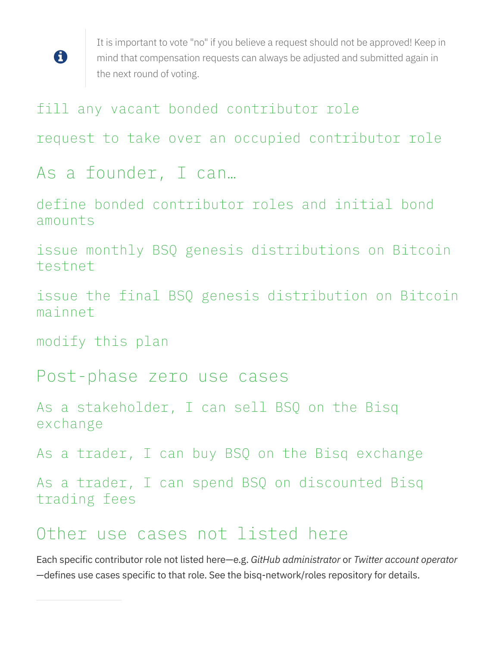

It is important to vote "no" if you believe a request should not be approved! Keep in mind that compensation requests can always be adjusted and submitted again in the next round of voting.

#### fill any vacant bonded contributor role

request to take over an occupied contributor role

## As a founder, I can…

define bonded contributor roles and initial bond amounts

issue monthly BSQ genesis distributions on Bitcoin testnet

issue the final BSQ genesis distribution on Bitcoin mainnet

modify this plan

Post-phase zero use cases

As a stakeholder, I can sell BSQ on the Bisq exchange

As a trader, I can buy BSQ on the Bisq exchange

As a trader, I can spend BSQ on discounted Bisq trading fees

## Other use cases not listed here

Each specific contributor role not listed here-e.g. GitHub administrator or Twitter account operator —defines use cases specific to that role. See the bisq-network/roles repository for details.